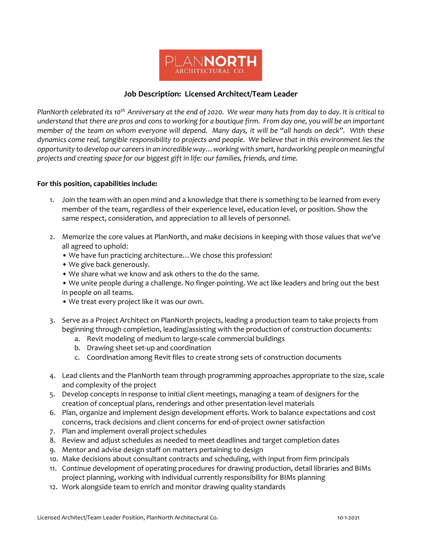

## **Job Description: Licensed Architect/Team Leader**

*PlanNorth celebrated its 10th Anniversary at the end of 2020. We wear many hats from day to day. It is critical to understand that there are pros and cons to working for a boutique firm. From day one, you will be an important member of the team on whom everyone will depend. Many days, it will be "all hands on deck". With these dynamics come real, tangible responsibility to projects and people. We believe that in this environment lies the opportunity to develop our careers in an incredible way…working with smart, hardworking people on meaningful projects and creating space for our biggest gift in life: our families, friends, and time.* 

## **For this position, capabilities include:**

- 1. Join the team with an open mind and a knowledge that there is something to be learned from every member of the team, regardless of their experience level, education level, or position. Show the same respect, consideration, and appreciation to all levels of personnel.
- 2. Memorize the core values at PlanNorth, and make decisions in keeping with those values that we've all agreed to uphold:
	- We have fun practicing architecture…We chose this profession!
	- We give back generously.
	- We share what we know and ask others to the do the same.
	- We unite people during a challenge. No finger-pointing. We act like leaders and bring out the best in people on all teams.
	- We treat every project like it was our own.
- 3. Serve as a Project Architect on PlanNorth projects, leading a production team to take projects from beginning through completion, leading/assisting with the production of construction documents:
	- a. Revit modeling of medium to large-scale commercial buildings
	- b. Drawing sheet set-up and coordination
	- c. Coordination among Revit files to create strong sets of construction documents
- 4. Lead clients and the PlanNorth team through programming approaches appropriate to the size, scale and complexity of the project
- 5. Develop concepts in response to initial client meetings, managing a team of designers for the creation of conceptual plans, renderings and other presentation-level materials
- 6. Plan, organize and implement design development efforts. Work to balance expectations and cost concerns, track decisions and client concerns for end-of-project owner satisfaction
- 7. Plan and implement overall project schedules
- 8. Review and adjust schedules as needed to meet deadlines and target completion dates
- 9. Mentor and advise design staff on matters pertaining to design
- 10. Make decisions about consultant contracts and scheduling, with input from firm principals
- 11. Continue development of operating procedures for drawing production, detail libraries and BIMs project planning, working with individual currently responsibility for BIMs planning
- 12. Work alongside team to enrich and monitor drawing quality standards